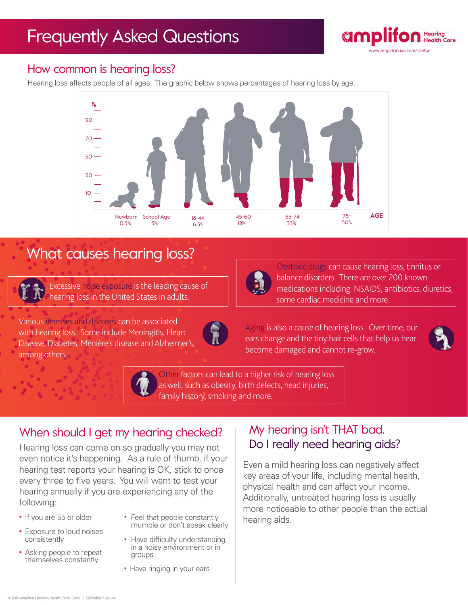

#### How common is hearing loss?

Hearing loss affects people of all ages. The graphic below shows percentages of hearing loss by age.



# What causes hearing loss?

Excessive noise exposure is the leading cause of hearing loss in the United States in adults.

Various illnesses and diseases can be associated with hearing loss. Some include Meningitis, Heart Disease, Diabetes, Ménière's disease and Alzheimer's, among others.



Ototoxic drugs can cause hearing loss, tinnitus or balance disorders. There are over 200 known medications including: NSAIDS, antibiotics, diuretics, some cardiac medicine and more.

Aging is also a cause of hearing loss. Over time, our ears change and the tiny hair cells that help us hear become damaged and cannot re-grow.



Other factors can lead to a higher risk of hearing loss as well, such as obesity, birth defects, head injuries, family history, smoking and more.

When should I get my hearing checked?

Hearing loss can come on so gradually you may not even notice it's happening. As a rule of thumb, if your hearing test reports your hearing is OK, stick to once every three to five years. You will want to test your hearing annually if you are experiencing any of the following:

- If you are 55 or older
- **Exposure to loud noises** consistently
- Asking people to repeat themselves constantly
- Feel that people constantly mumble or don't speak clearly
- Have difficulty understanding in a noisy environment or in groups
- Have ringing in your ears

## My hearing isn't THAT bad. Do I really need hearing aids?

Even a mild hearing loss can negatively affect key areas of your life, including mental health, physical health and can affect your income. Additionally, untreated hearing loss is usually more noticeable to other people than the actual hearing aids.